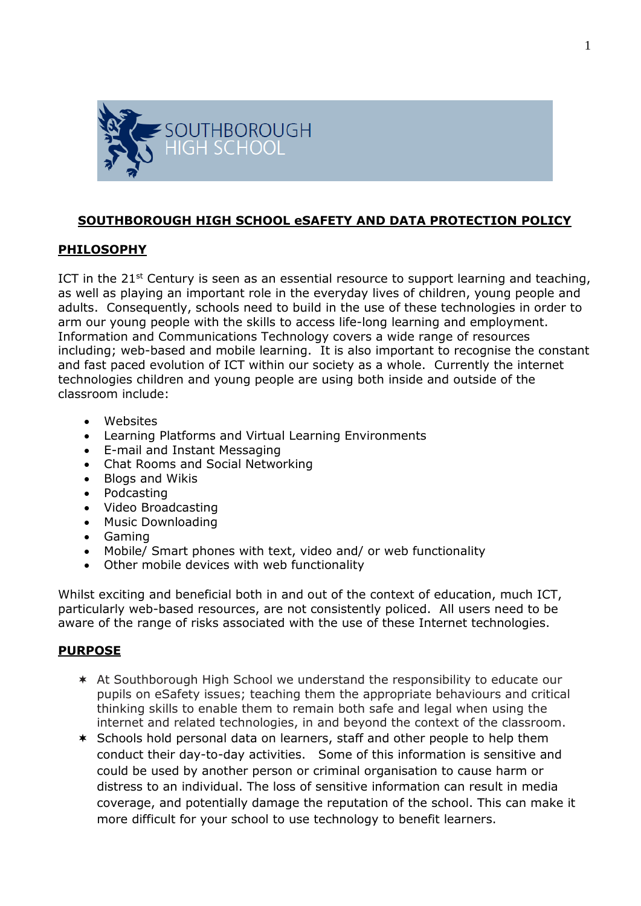

# **SOUTHBOROUGH HIGH SCHOOL eSAFETY AND DATA PROTECTION POLICY**

### **PHILOSOPHY**

ICT in the 21st Century is seen as an essential resource to support learning and teaching, as well as playing an important role in the everyday lives of children, young people and adults. Consequently, schools need to build in the use of these technologies in order to arm our young people with the skills to access life-long learning and employment. Information and Communications Technology covers a wide range of resources including; web-based and mobile learning. It is also important to recognise the constant and fast paced evolution of ICT within our society as a whole. Currently the internet technologies children and young people are using both inside and outside of the classroom include:

- Websites
- Learning Platforms and Virtual Learning Environments
- E-mail and Instant Messaging
- Chat Rooms and Social Networking
- Blogs and Wikis
- Podcasting
- Video Broadcasting
- Music Downloading
- Gaming
- Mobile/ Smart phones with text, video and/ or web functionality
- Other mobile devices with web functionality

Whilst exciting and beneficial both in and out of the context of education, much ICT, particularly web-based resources, are not consistently policed. All users need to be aware of the range of risks associated with the use of these Internet technologies.

### **PURPOSE**

- At Southborough High School we understand the responsibility to educate our pupils on eSafety issues; teaching them the appropriate behaviours and critical thinking skills to enable them to remain both safe and legal when using the internet and related technologies, in and beyond the context of the classroom.
- \* Schools hold personal data on learners, staff and other people to help them conduct their day-to-day activities. Some of this information is sensitive and could be used by another person or criminal organisation to cause harm or distress to an individual. The loss of sensitive information can result in media coverage, and potentially damage the reputation of the school. This can make it more difficult for your school to use technology to benefit learners.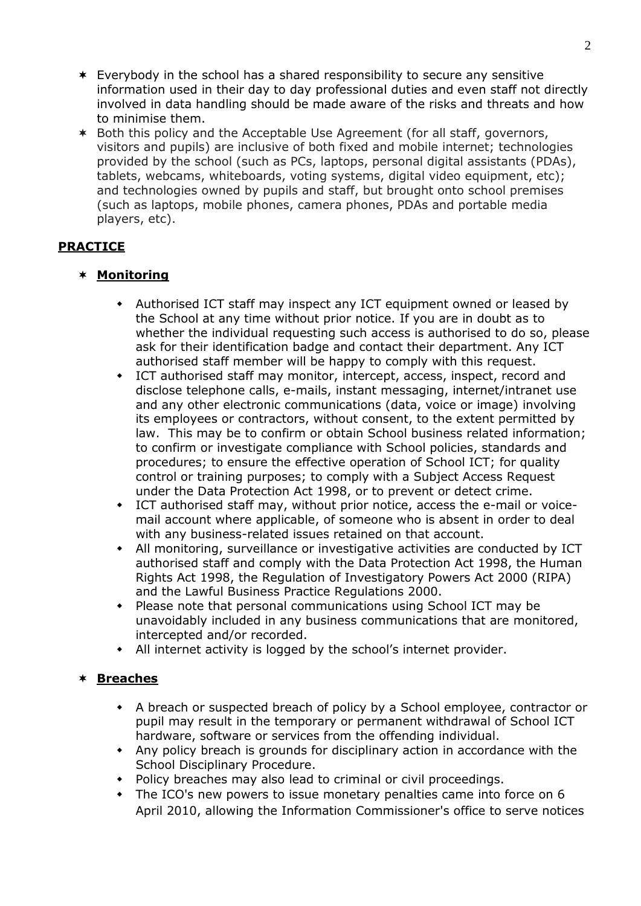- Everybody in the school has a shared responsibility to secure any sensitive information used in their day to day professional duties and even staff not directly involved in data handling should be made aware of the risks and threats and how to minimise them.
- Both this policy and the Acceptable Use Agreement (for all staff, governors, visitors and pupils) are inclusive of both fixed and mobile internet; technologies provided by the school (such as PCs, laptops, personal digital assistants (PDAs), tablets, webcams, whiteboards, voting systems, digital video equipment, etc); and technologies owned by pupils and staff, but brought onto school premises (such as laptops, mobile phones, camera phones, PDAs and portable media players, etc).

# **PRACTICE**

### **Monitoring**

- Authorised ICT staff may inspect any ICT equipment owned or leased by the School at any time without prior notice. If you are in doubt as to whether the individual requesting such access is authorised to do so, please ask for their identification badge and contact their department. Any ICT authorised staff member will be happy to comply with this request.
- ICT authorised staff may monitor, intercept, access, inspect, record and disclose telephone calls, e-mails, instant messaging, internet/intranet use and any other electronic communications (data, voice or image) involving its employees or contractors, without consent, to the extent permitted by law. This may be to confirm or obtain School business related information; to confirm or investigate compliance with School policies, standards and procedures; to ensure the effective operation of School ICT; for quality control or training purposes; to comply with a Subject Access Request under the Data Protection Act 1998, or to prevent or detect crime.
- ICT authorised staff may, without prior notice, access the e-mail or voicemail account where applicable, of someone who is absent in order to deal with any business-related issues retained on that account.
- All monitoring, surveillance or investigative activities are conducted by ICT authorised staff and comply with the Data Protection Act 1998, the Human Rights Act 1998, the Regulation of Investigatory Powers Act 2000 (RIPA) and the Lawful Business Practice Regulations 2000.
- Please note that personal communications using School ICT may be unavoidably included in any business communications that are monitored, intercepted and/or recorded.
- All internet activity is logged by the school's internet provider.

### **Breaches**

- A breach or suspected breach of policy by a School employee, contractor or pupil may result in the temporary or permanent withdrawal of School ICT hardware, software or services from the offending individual.
- Any policy breach is grounds for disciplinary action in accordance with the School Disciplinary Procedure.
- Policy breaches may also lead to criminal or civil proceedings.
- The ICO's new powers to issue monetary penalties came into force on 6 April 2010, allowing the Information Commissioner's office to serve notices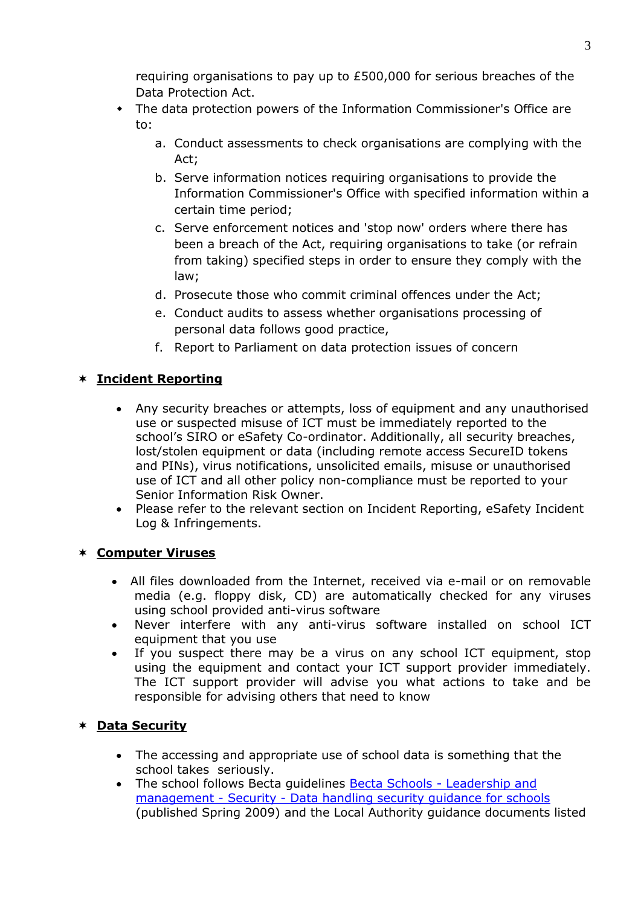requiring organisations to pay up to £500,000 for serious breaches of the Data Protection Act.

- The data protection powers of the Information Commissioner's Office are to:
	- a. Conduct assessments to check organisations are complying with the Act;
	- b. Serve information notices requiring organisations to provide the Information Commissioner's Office with specified information within a certain time period;
	- c. Serve enforcement notices and 'stop now' orders where there has been a breach of the Act, requiring organisations to take (or refrain from taking) specified steps in order to ensure they comply with the law;
	- d. Prosecute those who commit criminal offences under the Act;
	- e. Conduct audits to assess whether organisations processing of personal data follows good practice,
	- f. Report to Parliament on data protection issues of concern

# **Incident Reporting**

- Any security breaches or attempts, loss of equipment and any unauthorised use or suspected misuse of ICT must be immediately reported to the school's SIRO or eSafety Co-ordinator. Additionally, all security breaches, lost/stolen equipment or data (including remote access SecureID tokens and PINs), virus notifications, unsolicited emails, misuse or unauthorised use of ICT and all other policy non-compliance must be reported to your Senior Information Risk Owner.
- Please refer to the relevant section on Incident Reporting, eSafety Incident Log & Infringements.

# **Computer Viruses**

- All files downloaded from the Internet, received via e-mail or on removable media (e.g. floppy disk, CD) are automatically checked for any viruses using school provided anti-virus software
- Never interfere with any anti-virus software installed on school ICT equipment that you use
- If you suspect there may be a virus on any school ICT equipment, stop using the equipment and contact your ICT support provider immediately. The ICT support provider will advise you what actions to take and be responsible for advising others that need to know

# **Data Security**

- The accessing and appropriate use of school data is something that the school takes seriously.
- The school follows Becta guidelines [Becta Schools -](http://schools.becta.org.uk/index.php?section=lv&catcode=ss_lv_saf_se_03&rid=14734) Leadership and management - Security - [Data handling security guidance for schools](http://schools.becta.org.uk/index.php?section=lv&catcode=ss_lv_saf_se_03&rid=14734) (published Spring 2009) and the Local Authority guidance documents listed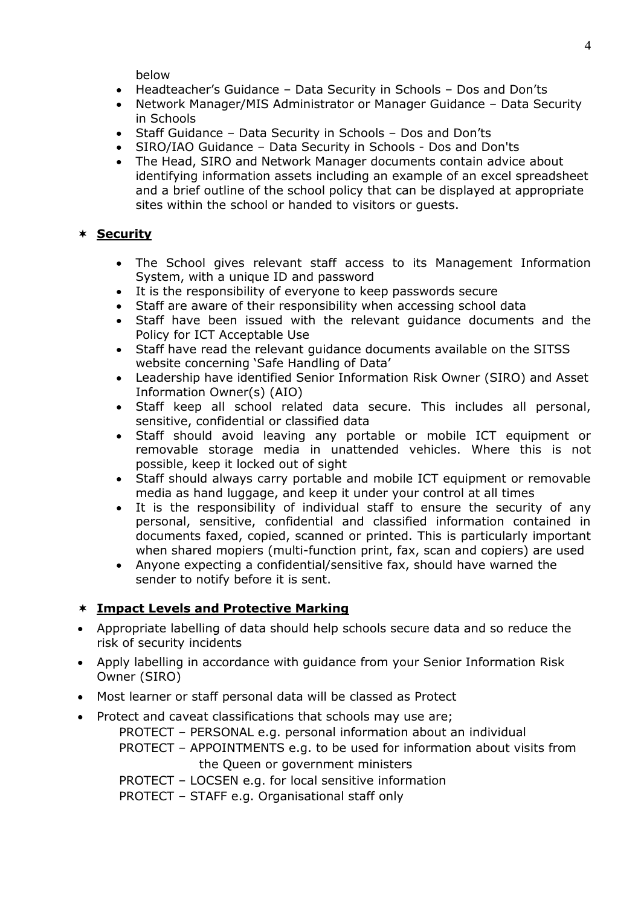below

- Headteacher's Guidance Data Security in Schools Dos and Don'ts
- Network Manager/MIS Administrator or Manager Guidance Data Security in Schools
- Staff Guidance Data Security in Schools Dos and Don'ts
- SIRO/IAO Guidance Data Security in Schools Dos and Don'ts
- The Head, SIRO and Network Manager documents contain advice about identifying information assets including an example of an excel spreadsheet and a brief outline of the school policy that can be displayed at appropriate sites within the school or handed to visitors or guests.

### **Security**

- The School gives relevant staff access to its Management Information System, with a unique ID and password
- It is the responsibility of everyone to keep passwords secure
- Staff are aware of their responsibility when accessing school data
- Staff have been issued with the relevant guidance documents and the Policy for ICT Acceptable Use
- Staff have read the relevant guidance documents available on the SITSS website concerning 'Safe Handling of Data'
- Leadership have identified Senior Information Risk Owner (SIRO) and Asset Information Owner(s) (AIO)
- Staff keep all school related data secure. This includes all personal, sensitive, confidential or classified data
- Staff should avoid leaving any portable or mobile ICT equipment or removable storage media in unattended vehicles. Where this is not possible, keep it locked out of sight
- Staff should always carry portable and mobile ICT equipment or removable media as hand luggage, and keep it under your control at all times
- It is the responsibility of individual staff to ensure the security of any personal, sensitive, confidential and classified information contained in documents faxed, copied, scanned or printed. This is particularly important when shared mopiers (multi-function print, fax, scan and copiers) are used
- Anyone expecting a confidential/sensitive fax, should have warned the sender to notify before it is sent.

# **Impact Levels and Protective Marking**

- Appropriate labelling of data should help schools secure data and so reduce the risk of security incidents
- Apply labelling in accordance with guidance from your Senior Information Risk Owner (SIRO)
- Most learner or staff personal data will be classed as Protect
- Protect and caveat classifications that schools may use are;
	- PROTECT PERSONAL e.g. personal information about an individual
	- PROTECT APPOINTMENTS e.g. to be used for information about visits from the Queen or government ministers
	- PROTECT LOCSEN e.g. for local sensitive information

PROTECT – STAFF e.g. Organisational staff only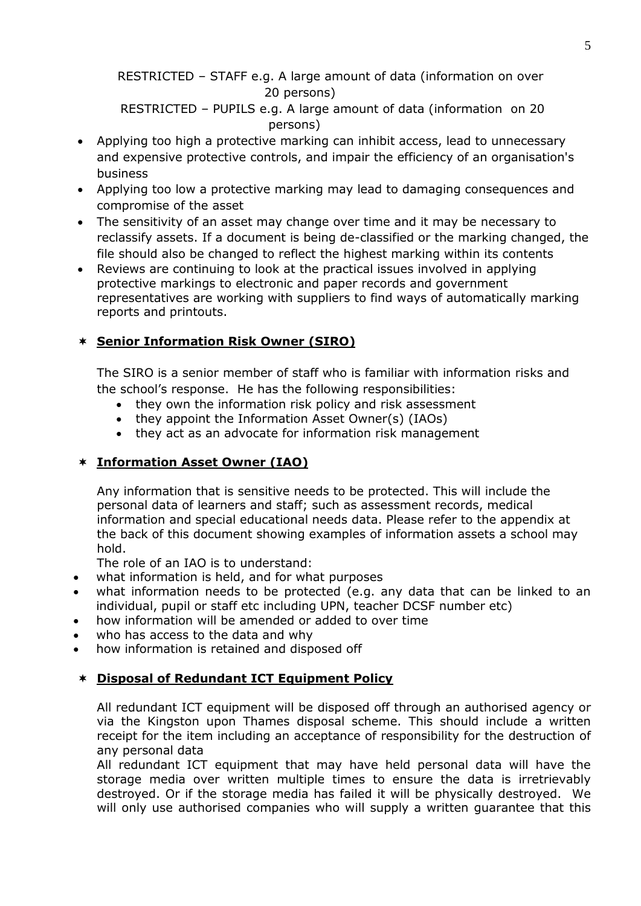RESTRICTED – STAFF e.g. A large amount of data (information on over 20 persons)

 RESTRICTED – PUPILS e.g. A large amount of data (information on 20 persons)

- Applying too high a protective marking can inhibit access, lead to unnecessary and expensive protective controls, and impair the efficiency of an organisation's business
- Applying too low a protective marking may lead to damaging consequences and compromise of the asset
- The sensitivity of an asset may change over time and it may be necessary to reclassify assets. If a document is being de-classified or the marking changed, the file should also be changed to reflect the highest marking within its contents
- Reviews are continuing to look at the practical issues involved in applying protective markings to electronic and paper records and government representatives are working with suppliers to find ways of automatically marking reports and printouts.

# **Senior Information Risk Owner (SIRO)**

The SIRO is a senior member of staff who is familiar with information risks and the school's response. He has the following responsibilities:

- they own the information risk policy and risk assessment
- they appoint the Information Asset Owner(s) (IAOs)
- they act as an advocate for information risk management

# **Information Asset Owner (IAO)**

Any information that is sensitive needs to be protected. This will include the personal data of learners and staff; such as assessment records, medical information and special educational needs data. Please refer to the appendix at the back of this document showing examples of information assets a school may hold.

The role of an IAO is to understand:

- what information is held, and for what purposes
- what information needs to be protected (e.g. any data that can be linked to an individual, pupil or staff etc including UPN, teacher DCSF number etc)
- how information will be amended or added to over time
- who has access to the data and why
- how information is retained and disposed off

# **Disposal of Redundant ICT Equipment Policy**

All redundant ICT equipment will be disposed off through an authorised agency or via the Kingston upon Thames disposal scheme. This should include a written receipt for the item including an acceptance of responsibility for the destruction of any personal data

All redundant ICT equipment that may have held personal data will have the storage media over written multiple times to ensure the data is irretrievably destroyed. Or if the storage media has failed it will be physically destroyed. We will only use authorised companies who will supply a written quarantee that this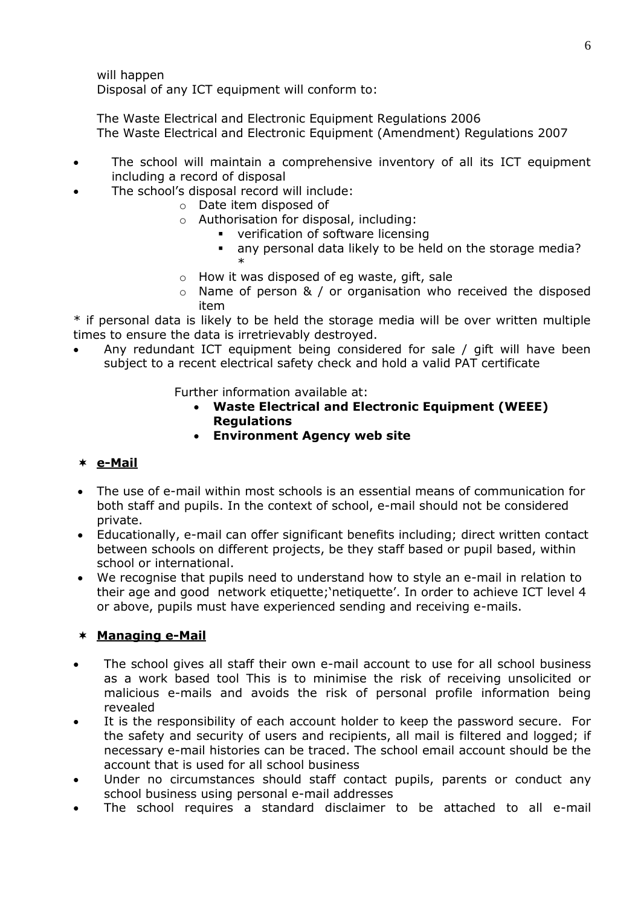will happen Disposal of any ICT equipment will conform to:

The Waste Electrical and Electronic Equipment Regulations 2006 The Waste Electrical and Electronic Equipment (Amendment) Regulations 2007

- The school will maintain a comprehensive inventory of all its ICT equipment including a record of disposal
- The school's disposal record will include:
	- o Date item disposed of
	- o Authorisation for disposal, including:
		- **•** verification of software licensing
		- any personal data likely to be held on the storage media? \*
	- $\circ$  How it was disposed of eq waste, gift, sale
	- o Name of person & / or organisation who received the disposed item

\* if personal data is likely to be held the storage media will be over written multiple times to ensure the data is irretrievably destroyed.

 Any redundant ICT equipment being considered for sale / gift will have been subject to a recent electrical safety check and hold a valid PAT certificate

Further information available at:

- **Waste Electrical and Electronic Equipment (WEEE) Regulations**
- **Environment Agency web site**

# **e-Mail**

- The use of e-mail within most schools is an essential means of communication for both staff and pupils. In the context of school, e-mail should not be considered private.
- Educationally, e-mail can offer significant benefits including; direct written contact between schools on different projects, be they staff based or pupil based, within school or international.
- We recognise that pupils need to understand how to style an e-mail in relation to their age and good network etiquette;'netiquette'. In order to achieve ICT level 4 or above, pupils must have experienced sending and receiving e-mails.

# **Managing e-Mail**

- The school gives all staff their own e-mail account to use for all school business as a work based tool This is to minimise the risk of receiving unsolicited or malicious e-mails and avoids the risk of personal profile information being revealed
- It is the responsibility of each account holder to keep the password secure. For the safety and security of users and recipients, all mail is filtered and logged; if necessary e-mail histories can be traced. The school email account should be the account that is used for all school business
- Under no circumstances should staff contact pupils, parents or conduct any school business using personal e-mail addresses
- The school requires a standard disclaimer to be attached to all e-mail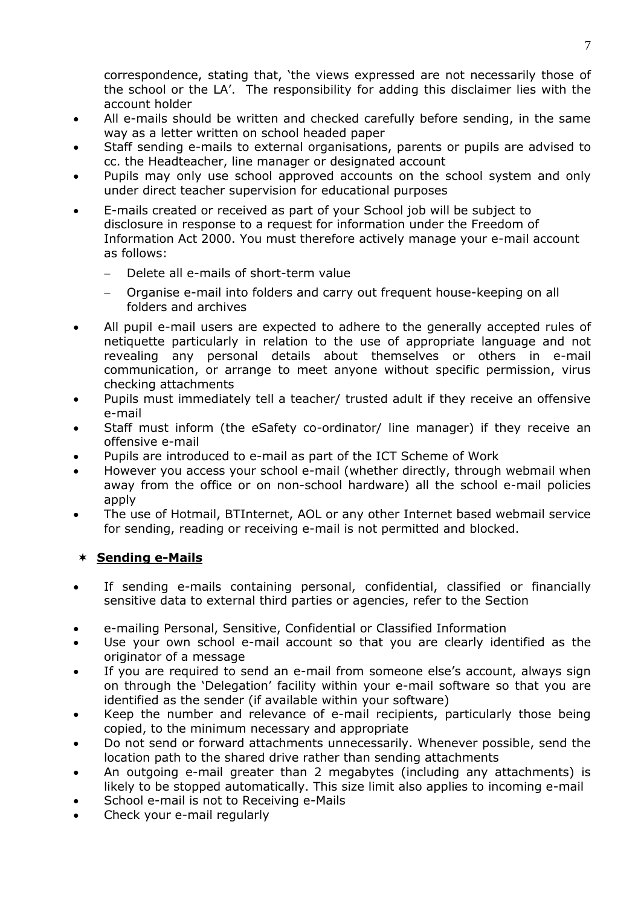correspondence, stating that, 'the views expressed are not necessarily those of the school or the LA'. The responsibility for adding this disclaimer lies with the account holder

- All e-mails should be written and checked carefully before sending, in the same way as a letter written on school headed paper
- Staff sending e-mails to external organisations, parents or pupils are advised to cc. the Headteacher, line manager or designated account
- Pupils may only use school approved accounts on the school system and only under direct teacher supervision for educational purposes
- E-mails created or received as part of your School job will be subject to disclosure in response to a request for information under the Freedom of Information Act 2000. You must therefore actively manage your e-mail account as follows:
	- Delete all e-mails of short-term value
	- Organise e-mail into folders and carry out frequent house-keeping on all folders and archives
- All pupil e-mail users are expected to adhere to the generally accepted rules of netiquette particularly in relation to the use of appropriate language and not revealing any personal details about themselves or others in e-mail communication, or arrange to meet anyone without specific permission, virus checking attachments
- Pupils must immediately tell a teacher/ trusted adult if they receive an offensive e-mail
- Staff must inform (the eSafety co-ordinator/ line manager) if they receive an offensive e-mail
- Pupils are introduced to e-mail as part of the ICT Scheme of Work
- However you access your school e-mail (whether directly, through webmail when away from the office or on non-school hardware) all the school e-mail policies apply
- The use of Hotmail, BTInternet, AOL or any other Internet based webmail service for sending, reading or receiving e-mail is not permitted and blocked.

# **Sending e-Mails**

- If sending e-mails containing personal, confidential, classified or financially sensitive data to external third parties or agencies, refer to the Section
- [e-mailing Personal, Sensitive, Confidential or Classified Information](#page-7-0)
- Use your own school e-mail account so that you are clearly identified as the originator of a message
- If you are required to send an e-mail from someone else's account, always sign on through the 'Delegation' facility within your e-mail software so that you are identified as the sender (if available within your software)
- Keep the number and relevance of e-mail recipients, particularly those being copied, to the minimum necessary and appropriate
- Do not send or forward attachments unnecessarily. Whenever possible, send the location path to the shared drive rather than sending attachments
- An outgoing e-mail greater than 2 megabytes (including any attachments) is likely to be stopped automatically. This size limit also applies to incoming e-mail
- School e-mail is not to Receiving e-Mails
- Check your e-mail regularly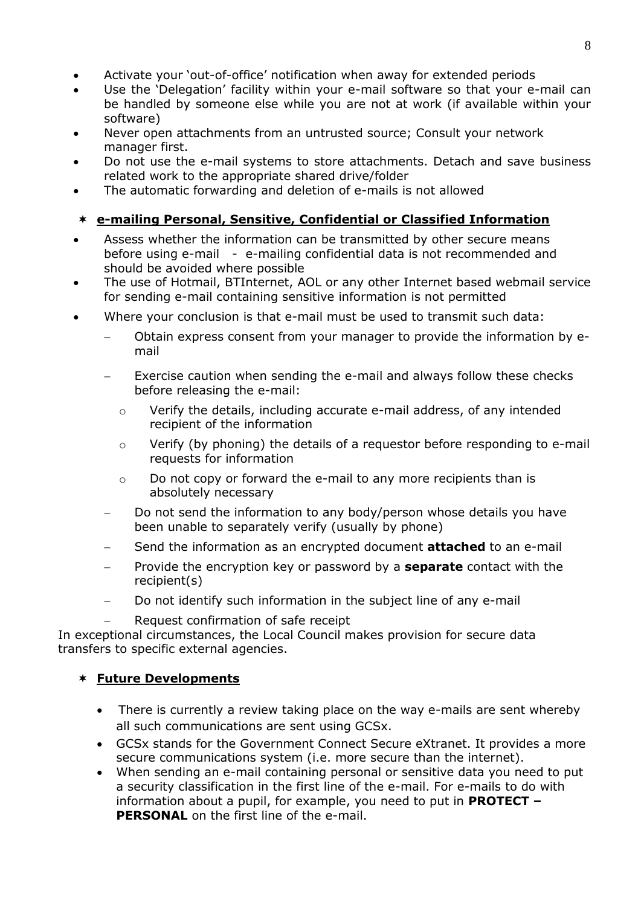- Activate your 'out-of-office' notification when away for extended periods
- Use the 'Delegation' facility within your e-mail software so that your e-mail can be handled by someone else while you are not at work (if available within your software)
- Never open attachments from an untrusted source; Consult your network manager first.
- Do not use the e-mail systems to store attachments. Detach and save business related work to the appropriate shared drive/folder
- <span id="page-7-0"></span>The automatic forwarding and deletion of e-mails is not allowed

# **e-mailing Personal, Sensitive, Confidential or Classified Information**

- Assess whether the information can be transmitted by other secure means before using e-mail - e-mailing confidential data is not recommended and should be avoided where possible
- The use of Hotmail, BTInternet, AOL or any other Internet based webmail service for sending e-mail containing sensitive information is not permitted
- Where your conclusion is that e-mail must be used to transmit such data:
	- Obtain express consent from your manager to provide the information by email
	- Exercise caution when sending the e-mail and always follow these checks before releasing the e-mail:
		- o Verify the details, including accurate e-mail address, of any intended recipient of the information
		- $\circ$  Verify (by phoning) the details of a requestor before responding to e-mail requests for information
		- o Do not copy or forward the e-mail to any more recipients than is absolutely necessary
	- Do not send the information to any body/person whose details you have been unable to separately verify (usually by phone)
	- Send the information as an encrypted document **attached** to an e-mail
	- Provide the encryption key or password by a **separate** contact with the recipient(s)
	- Do not identify such information in the subject line of any e-mail
		- Request confirmation of safe receipt

In exceptional circumstances, the Local Council makes provision for secure data transfers to specific external agencies.

# **Future Developments**

- There is currently a review taking place on the way e-mails are sent whereby all such communications are sent using GCSx.
- GCSx stands for the Government Connect Secure eXtranet. It provides a more secure communications system (i.e. more secure than the internet).
- When sending an e-mail containing personal or sensitive data you need to put a security classification in the first line of the e-mail. For e-mails to do with information about a pupil, for example, you need to put in **PROTECT – PERSONAL** on the first line of the e-mail.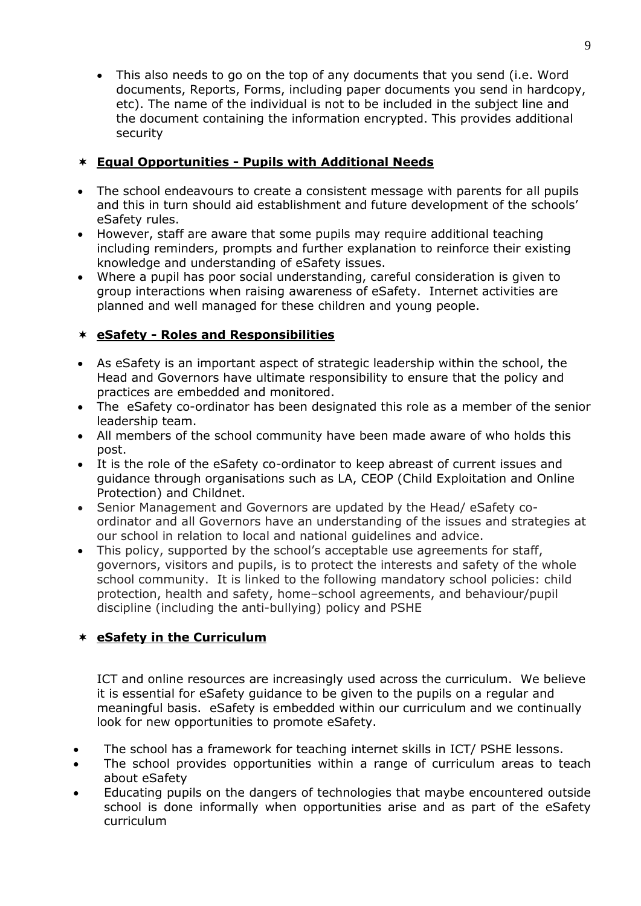This also needs to go on the top of any documents that you send (i.e. Word documents, Reports, Forms, including paper documents you send in hardcopy, etc). The name of the individual is not to be included in the subject line and the document containing the information encrypted. This provides additional security

# **Equal Opportunities - Pupils with Additional Needs**

- The school endeavours to create a consistent message with parents for all pupils and this in turn should aid establishment and future development of the schools' eSafety rules.
- However, staff are aware that some pupils may require additional teaching including reminders, prompts and further explanation to reinforce their existing knowledge and understanding of eSafety issues.
- Where a pupil has poor social understanding, careful consideration is given to group interactions when raising awareness of eSafety. Internet activities are planned and well managed for these children and young people.

# **eSafety - Roles and Responsibilities**

- As eSafety is an important aspect of strategic leadership within the school, the Head and Governors have ultimate responsibility to ensure that the policy and practices are embedded and monitored.
- The eSafety co-ordinator has been designated this role as a member of the senior leadership team.
- All members of the school community have been made aware of who holds this post.
- It is the role of the eSafety co-ordinator to keep abreast of current issues and guidance through organisations such as LA, CEOP (Child Exploitation and Online Protection) and Childnet.
- Senior Management and Governors are updated by the Head/ eSafety coordinator and all Governors have an understanding of the issues and strategies at our school in relation to local and national guidelines and advice.
- This policy, supported by the school's acceptable use agreements for staff, governors, visitors and pupils, is to protect the interests and safety of the whole school community. It is linked to the following mandatory school policies: child protection, health and safety, home–school agreements, and behaviour/pupil discipline (including the anti-bullying) policy and PSHE

# **eSafety in the Curriculum**

ICT and online resources are increasingly used across the curriculum. We believe it is essential for eSafety guidance to be given to the pupils on a regular and meaningful basis. eSafety is embedded within our curriculum and we continually look for new opportunities to promote eSafety.

- The school has a framework for teaching internet skills in ICT/ PSHE lessons.
- The school provides opportunities within a range of curriculum areas to teach about eSafety
- Educating pupils on the dangers of technologies that maybe encountered outside school is done informally when opportunities arise and as part of the eSafety curriculum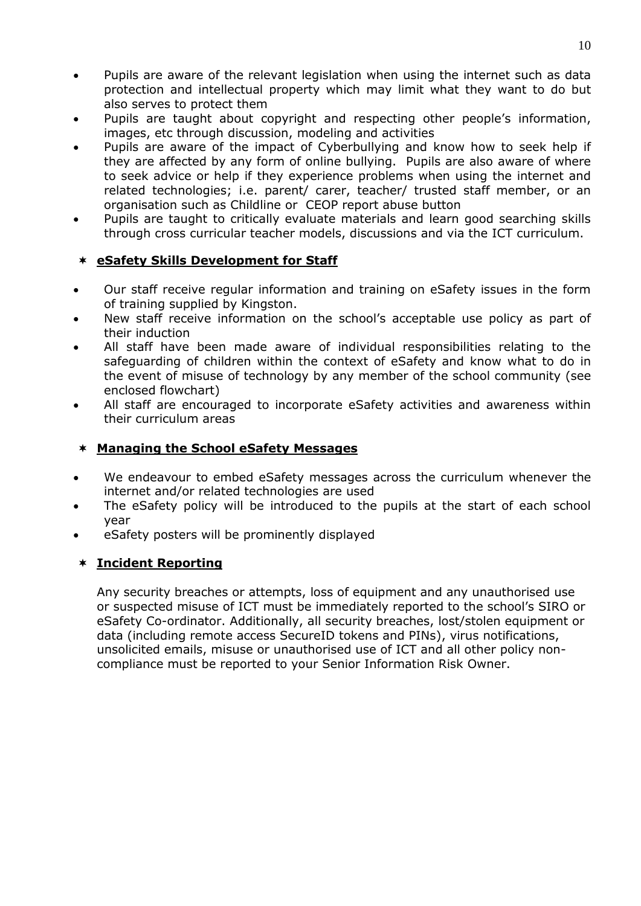- Pupils are aware of the relevant legislation when using the internet such as data protection and intellectual property which may limit what they want to do but also serves to protect them
- Pupils are taught about copyright and respecting other people's information, images, etc through discussion, modeling and activities
- Pupils are aware of the impact of Cyberbullying and know how to seek help if they are affected by any form of online bullying. Pupils are also aware of where to seek advice or help if they experience problems when using the internet and related technologies; i.e. parent/ carer, teacher/ trusted staff member, or an organisation such as Childline or CEOP report abuse button
- Pupils are taught to critically evaluate materials and learn good searching skills through cross curricular teacher models, discussions and via the ICT curriculum.

### **eSafety Skills Development for Staff**

- Our staff receive regular information and training on eSafety issues in the form of training supplied by Kingston.
- New staff receive information on the school's acceptable use policy as part of their induction
- All staff have been made aware of individual responsibilities relating to the safeguarding of children within the context of eSafety and know what to do in the event of misuse of technology by any member of the school community (see enclosed flowchart)
- All staff are encouraged to incorporate eSafety activities and awareness within their curriculum areas

## **Managing the School eSafety Messages**

- We endeavour to embed eSafety messages across the curriculum whenever the internet and/or related technologies are used
- The eSafety policy will be introduced to the pupils at the start of each school year
- eSafety posters will be prominently displayed

# **Incident Reporting**

Any security breaches or attempts, loss of equipment and any unauthorised use or suspected misuse of ICT must be immediately reported to the school's SIRO or eSafety Co-ordinator. Additionally, all security breaches, lost/stolen equipment or data (including remote access SecureID tokens and PINs), virus notifications, unsolicited emails, misuse or unauthorised use of ICT and all other policy noncompliance must be reported to your Senior Information Risk Owner.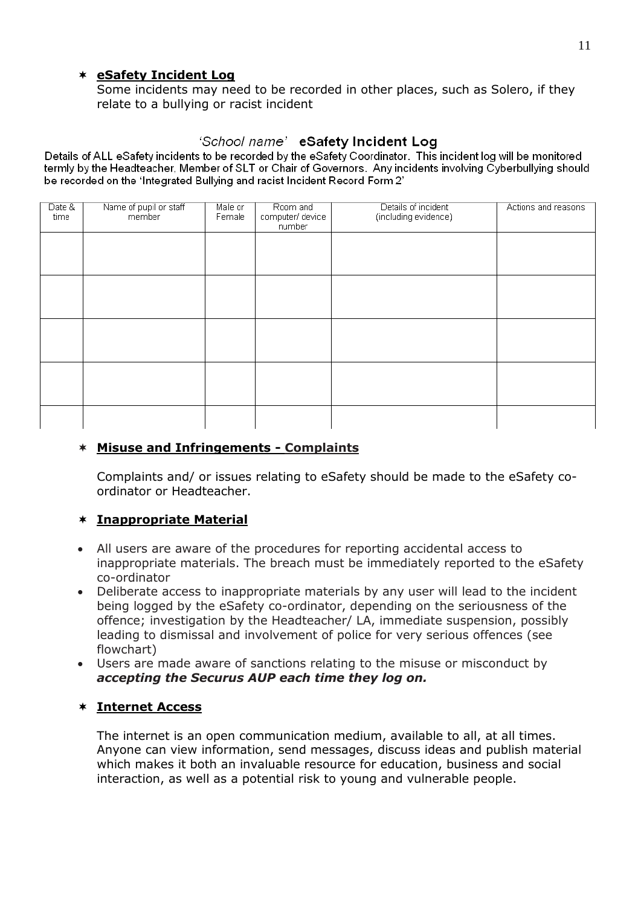### **eSafety Incident Log**

Some incidents may need to be recorded in other places, such as Solero, if they relate to a bullying or racist incident

# 'School name' eSafety Incident Log

Details of ALL eSafety incidents to be recorded by the eSafety Coordinator. This incident log will be monitored termly by the Headteacher, Member of SLT or Chair of Governors. Any incidents involving Cyberbullying should be recorded on the 'Integrated Bullying and racist Incident Record Form 2'

| Date &<br>time | Name of pupil or staff<br>member | Male or<br>Female | Room and<br>computer/ device<br>number | Details of incident<br>(including evidence) | Actions and reasons |
|----------------|----------------------------------|-------------------|----------------------------------------|---------------------------------------------|---------------------|
|                |                                  |                   |                                        |                                             |                     |
|                |                                  |                   |                                        |                                             |                     |
|                |                                  |                   |                                        |                                             |                     |
|                |                                  |                   |                                        |                                             |                     |
|                |                                  |                   |                                        |                                             |                     |
|                |                                  |                   |                                        |                                             |                     |
|                |                                  |                   |                                        |                                             |                     |

## **Misuse and Infringements - Complaints**

Complaints and/ or issues relating to eSafety should be made to the eSafety coordinator or Headteacher.

# **Inappropriate Material**

- All users are aware of the procedures for reporting accidental access to inappropriate materials. The breach must be immediately reported to the eSafety co-ordinator
- Deliberate access to inappropriate materials by any user will lead to the incident being logged by the eSafety co-ordinator, depending on the seriousness of the offence; investigation by the Headteacher/ LA, immediate suspension, possibly leading to dismissal and involvement of police for very serious offences (see flowchart)
- Users are made aware of sanctions relating to the misuse or misconduct by *accepting the Securus AUP each time they log on.*

### **Internet Access**

The internet is an open communication medium, available to all, at all times. Anyone can view information, send messages, discuss ideas and publish material which makes it both an invaluable resource for education, business and social interaction, as well as a potential risk to young and vulnerable people.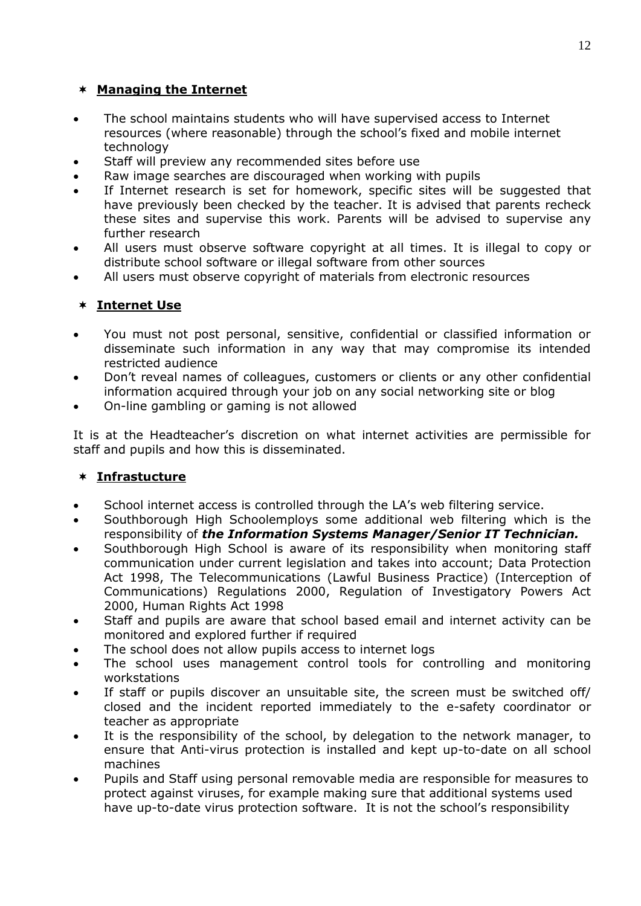# **Managing the Internet**

- The school maintains students who will have supervised access to Internet resources (where reasonable) through the school's fixed and mobile internet technology
- Staff will preview any recommended sites before use
- Raw image searches are discouraged when working with pupils
- If Internet research is set for homework, specific sites will be suggested that have previously been checked by the teacher. It is advised that parents recheck these sites and supervise this work. Parents will be advised to supervise any further research
- All users must observe software copyright at all times. It is illegal to copy or distribute school software or illegal software from other sources
- All users must observe copyright of materials from electronic resources

# **Internet Use**

- You must not post personal, sensitive, confidential or classified information or disseminate such information in any way that may compromise its intended restricted audience
- Don't reveal names of colleagues, customers or clients or any other confidential information acquired through your job on any social networking site or blog
- On-line gambling or gaming is not allowed

It is at the Headteacher's discretion on what internet activities are permissible for staff and pupils and how this is disseminated.

# **Infrastucture**

- School internet access is controlled through the LA's web filtering service.
- Southborough High Schoolemploys some additional web filtering which is the responsibility of *the Information Systems Manager/Senior IT Technician.*
- Southborough High School is aware of its responsibility when monitoring staff communication under current legislation and takes into account; Data Protection Act 1998, The Telecommunications (Lawful Business Practice) (Interception of Communications) Regulations 2000, Regulation of Investigatory Powers Act 2000, Human Rights Act 1998
- Staff and pupils are aware that school based email and internet activity can be monitored and explored further if required
- The school does not allow pupils access to internet logs
- The school uses management control tools for controlling and monitoring workstations
- If staff or pupils discover an unsuitable site, the screen must be switched off/ closed and the incident reported immediately to the e-safety coordinator or teacher as appropriate
- It is the responsibility of the school, by delegation to the network manager, to ensure that Anti-virus protection is installed and kept up-to-date on all school machines
- Pupils and Staff using personal removable media are responsible for measures to protect against viruses, for example making sure that additional systems used have up-to-date virus protection software. It is not the school's responsibility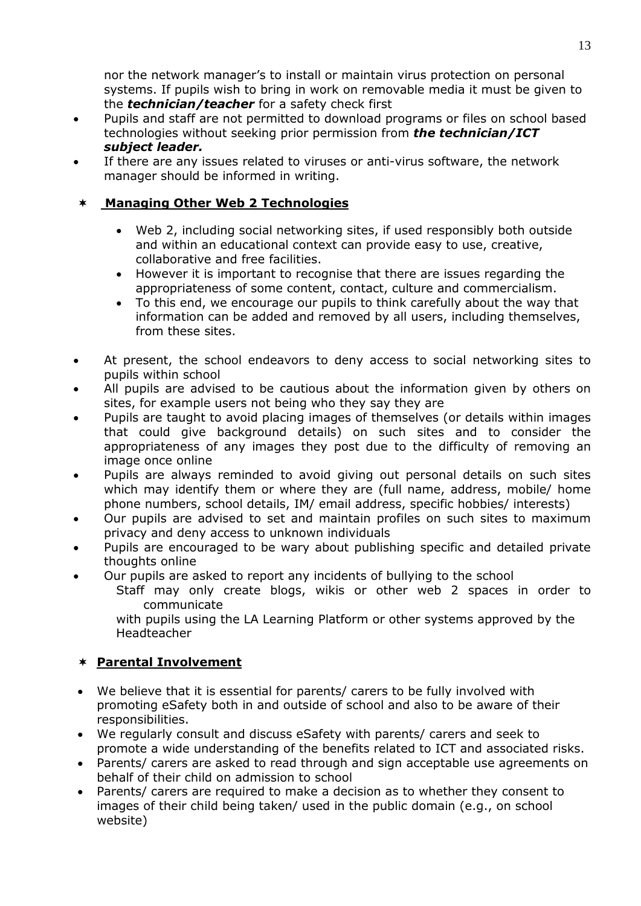nor the network manager's to install or maintain virus protection on personal systems. If pupils wish to bring in work on removable media it must be given to the *technician/teacher* for a safety check first

- Pupils and staff are not permitted to download programs or files on school based technologies without seeking prior permission from *the technician/ICT subject leader.*
- If there are any issues related to viruses or anti-virus software, the network manager should be informed in writing.

# **Managing Other Web 2 Technologies**

- Web 2, including social networking sites, if used responsibly both outside and within an educational context can provide easy to use, creative, collaborative and free facilities.
- However it is important to recognise that there are issues regarding the appropriateness of some content, contact, culture and commercialism.
- To this end, we encourage our pupils to think carefully about the way that information can be added and removed by all users, including themselves, from these sites.
- At present, the school endeavors to deny access to social networking sites to pupils within school
- All pupils are advised to be cautious about the information given by others on sites, for example users not being who they say they are
- Pupils are taught to avoid placing images of themselves (or details within images that could give background details) on such sites and to consider the appropriateness of any images they post due to the difficulty of removing an image once online
- Pupils are always reminded to avoid giving out personal details on such sites which may identify them or where they are (full name, address, mobile/ home phone numbers, school details, IM/ email address, specific hobbies/ interests)
- Our pupils are advised to set and maintain profiles on such sites to maximum privacy and deny access to unknown individuals
- Pupils are encouraged to be wary about publishing specific and detailed private thoughts online
- Our pupils are asked to report any incidents of bullying to the school
	- Staff may only create blogs, wikis or other web 2 spaces in order to communicate

with pupils using the LA Learning Platform or other systems approved by the Headteacher

# **Parental Involvement**

- We believe that it is essential for parents/ carers to be fully involved with promoting eSafety both in and outside of school and also to be aware of their responsibilities.
- We regularly consult and discuss eSafety with parents/ carers and seek to promote a wide understanding of the benefits related to ICT and associated risks.
- Parents/ carers are asked to read through and sign acceptable use agreements on behalf of their child on admission to school
- Parents/ carers are required to make a decision as to whether they consent to images of their child being taken/ used in the public domain (e.g., on school website)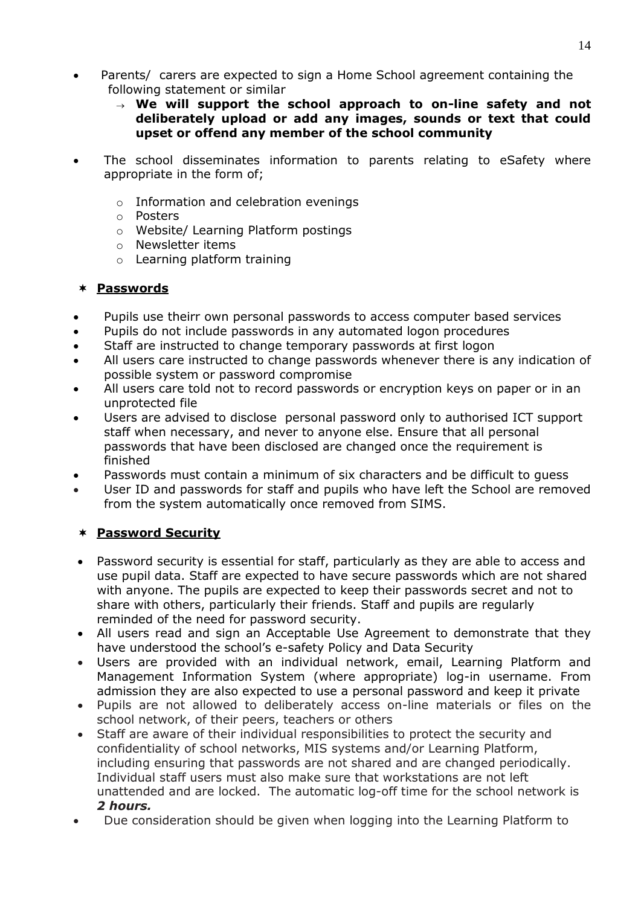- Parents/ carers are expected to sign a Home School agreement containing the following statement or similar
	- **We will support the school approach to on-line safety and not deliberately upload or add any images, sounds or text that could upset or offend any member of the school community**
- The school disseminates information to parents relating to eSafety where appropriate in the form of;
	- o Information and celebration evenings
	- o Posters
	- o Website/ Learning Platform postings
	- o Newsletter items
	- o Learning platform training

### **Passwords**

- Pupils use theirr own personal passwords to access computer based services
- Pupils do not include passwords in any automated logon procedures
- Staff are instructed to change temporary passwords at first logon
- All users care instructed to change passwords whenever there is any indication of possible system or password compromise
- All users care told not to record passwords or encryption keys on paper or in an unprotected file
- Users are advised to disclose personal password only to authorised ICT support staff when necessary, and never to anyone else. Ensure that all personal passwords that have been disclosed are changed once the requirement is finished
- Passwords must contain a minimum of six characters and be difficult to guess
- User ID and passwords for staff and pupils who have left the School are removed from the system automatically once removed from SIMS.

# **Password Security**

- Password security is essential for staff, particularly as they are able to access and use pupil data. Staff are expected to have secure passwords which are not shared with anyone. The pupils are expected to keep their passwords secret and not to share with others, particularly their friends. Staff and pupils are regularly reminded of the need for password security.
- All users read and sign an Acceptable Use Agreement to demonstrate that they have understood the school's e-safety Policy and Data Security
- Users are provided with an individual network, email, Learning Platform and Management Information System (where appropriate) log-in username. From admission they are also expected to use a personal password and keep it private
- Pupils are not allowed to deliberately access on-line materials or files on the school network, of their peers, teachers or others
- Staff are aware of their individual responsibilities to protect the security and confidentiality of school networks, MIS systems and/or Learning Platform, including ensuring that passwords are not shared and are changed periodically. Individual staff users must also make sure that workstations are not left unattended and are locked. The automatic log-off time for the school network is *2 hours.*
- Due consideration should be given when logging into the Learning Platform to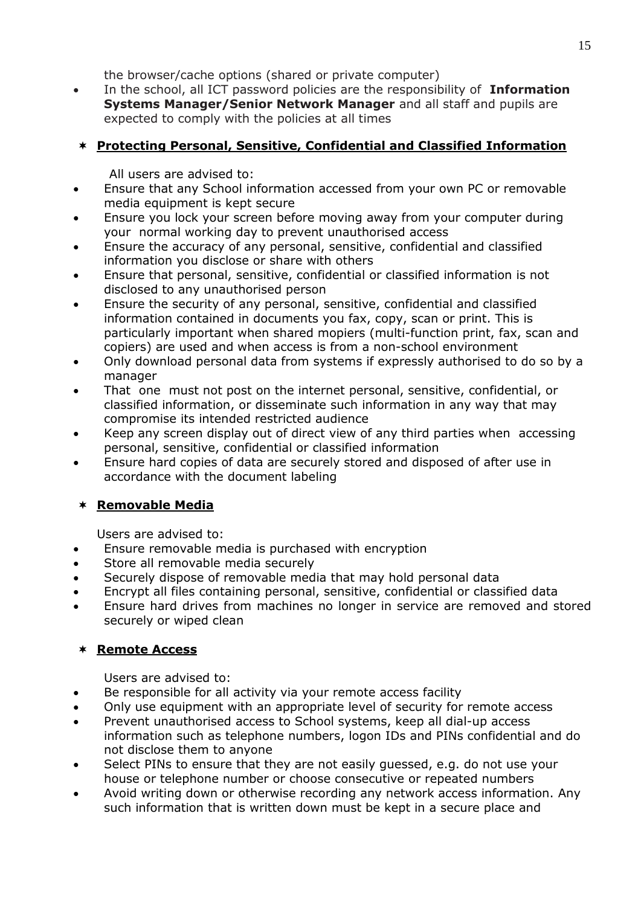the browser/cache options (shared or private computer)

 In the school, all ICT password policies are the responsibility of **Information Systems Manager/Senior Network Manager** and all staff and pupils are expected to comply with the policies at all times

# **Protecting Personal, Sensitive, Confidential and Classified Information**

All users are advised to:

- Ensure that any School information accessed from your own PC or removable media equipment is kept secure
- Ensure you lock your screen before moving away from your computer during your normal working day to prevent unauthorised access
- Ensure the accuracy of any personal, sensitive, confidential and classified information you disclose or share with others
- Ensure that personal, sensitive, confidential or classified information is not disclosed to any unauthorised person
- Ensure the security of any personal, sensitive, confidential and classified information contained in documents you fax, copy, scan or print. This is particularly important when shared mopiers (multi-function print, fax, scan and copiers) are used and when access is from a non-school environment
- Only download personal data from systems if expressly authorised to do so by a manager
- That one must not post on the internet personal, sensitive, confidential, or classified information, or disseminate such information in any way that may compromise its intended restricted audience
- Keep any screen display out of direct view of any third parties when accessing personal, sensitive, confidential or classified information
- Ensure hard copies of data are securely stored and disposed of after use in accordance with the document labeling

# <span id="page-14-0"></span>**Removable Media**

Users are advised to:

- Ensure removable media is purchased with encryption
- Store all removable media securely
- Securely dispose of removable media that may hold personal data
- Encrypt all files containing personal, sensitive, confidential or classified data
- Ensure hard drives from machines no longer in service are removed and stored securely or wiped clean

# **Remote Access**

Users are advised to:

- Be responsible for all activity via your remote access facility
- Only use equipment with an appropriate level of security for remote access
- Prevent unauthorised access to School systems, keep all dial-up access information such as telephone numbers, logon IDs and PINs confidential and do not disclose them to anyone
- Select PINs to ensure that they are not easily guessed, e.g. do not use your house or telephone number or choose consecutive or repeated numbers
- Avoid writing down or otherwise recording any network access information. Any such information that is written down must be kept in a secure place and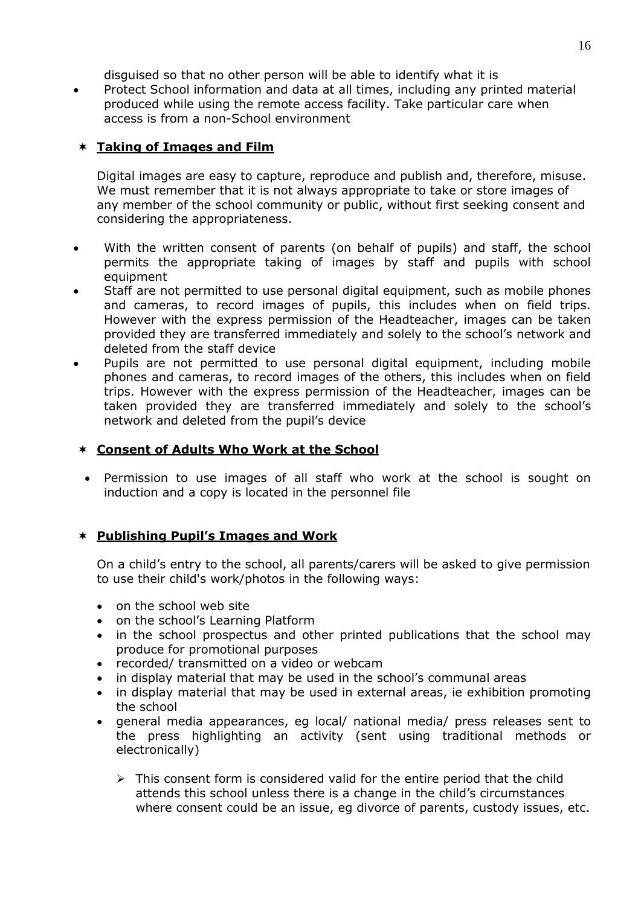disguised so that no other person will be able to identify what it is

 Protect School information and data at all times, including any printed material produced while using the remote access facility. Take particular care when access is from a non-School environment

# **Taking of Images and Film**

Digital images are easy to capture, reproduce and publish and, therefore, misuse. We must remember that it is not always appropriate to take or store images of any member of the school community or public, without first seeking consent and considering the appropriateness.

- With the written consent of parents (on behalf of pupils) and staff, the school permits the appropriate taking of images by staff and pupils with school equipment
- Staff are not permitted to use personal digital equipment, such as mobile phones and cameras, to record images of pupils, this includes when on field trips. However with the express permission of the Headteacher, images can be taken provided they are transferred immediately and solely to the school's network and deleted from the staff device
- Pupils are not permitted to use personal digital equipment, including mobile phones and cameras, to record images of the others, this includes when on field trips. However with the express permission of the Headteacher, images can be taken provided they are transferred immediately and solely to the school's network and deleted from the pupil's device

# **Consent of Adults Who Work at the School**

 Permission to use images of all staff who work at the school is sought on induction and a copy is located in the personnel file

### **Publishing Pupil's Images and Work**

On a child's entry to the school, all parents/carers will be asked to give permission to use their child's work/photos in the following ways:

- on the school web site
- on the school's Learning Platform
- in the school prospectus and other printed publications that the school may produce for promotional purposes
- recorded/ transmitted on a video or webcam
- in display material that may be used in the school's communal areas
- in display material that may be used in external areas, ie exhibition promoting the school
- general media appearances, eg local/ national media/ press releases sent to the press highlighting an activity (sent using traditional methods or electronically)
	- $\triangleright$  This consent form is considered valid for the entire period that the child attends this school unless there is a change in the child's circumstances where consent could be an issue, eg divorce of parents, custody issues, etc.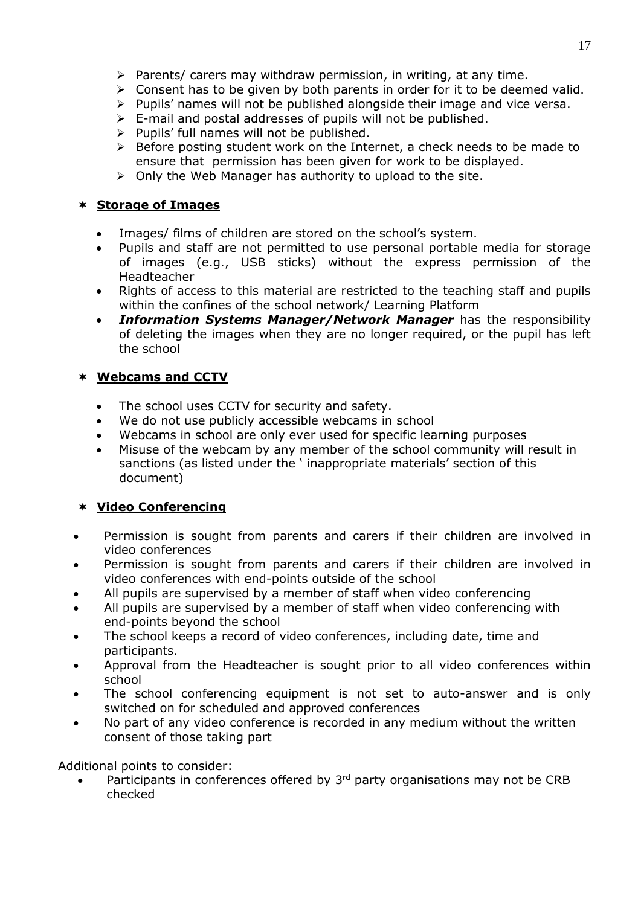- $\triangleright$  Parents/ carers may withdraw permission, in writing, at any time.
- $\triangleright$  Consent has to be given by both parents in order for it to be deemed valid.
- $\triangleright$  Pupils' names will not be published alongside their image and vice versa.
- $\triangleright$  E-mail and postal addresses of pupils will not be published.
- $\triangleright$  Pupils' full names will not be published.
- $\triangleright$  Before posting student work on the Internet, a check needs to be made to ensure that permission has been given for work to be displayed.
- $\triangleright$  Only the Web Manager has authority to upload to the site.

#### **Storage of Images**

- Images/ films of children are stored on the school's system.
- Pupils and staff are not permitted to use personal portable media for storage of images (e.g., USB sticks) without the express permission of the Headteacher
- Rights of access to this material are restricted to the teaching staff and pupils within the confines of the school network/ Learning Platform
- *Information Systems Manager/Network Manager* has the responsibility of deleting the images when they are no longer required, or the pupil has left the school

### **Webcams and CCTV**

- The school uses CCTV for security and safety.
- We do not use publicly accessible webcams in school
- Webcams in school are only ever used for specific learning purposes
- Misuse of the webcam by any member of the school community will result in sanctions (as listed under the ' inappropriate materials' section of this document)

# **Video Conferencing**

- Permission is sought from parents and carers if their children are involved in video conferences
- Permission is sought from parents and carers if their children are involved in video conferences with end-points outside of the school
- All pupils are supervised by a member of staff when video conferencing
- All pupils are supervised by a member of staff when video conferencing with end-points beyond the school
- The school keeps a record of video conferences, including date, time and participants.
- Approval from the Headteacher is sought prior to all video conferences within school
- The school conferencing equipment is not set to auto-answer and is only switched on for scheduled and approved conferences
- No part of any video conference is recorded in any medium without the written consent of those taking part

Additional points to consider:

Participants in conferences offered by  $3<sup>rd</sup>$  party organisations may not be CRB checked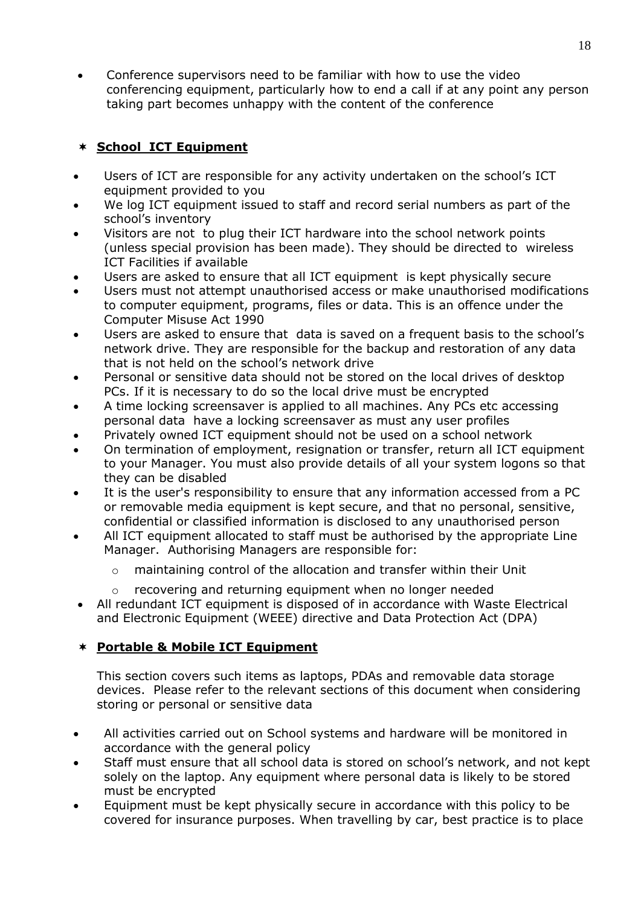Conference supervisors need to be familiar with how to use the video conferencing equipment, particularly how to end a call if at any point any person taking part becomes unhappy with the content of the conference

# **School ICT Equipment**

- Users of ICT are responsible for any activity undertaken on the school's ICT equipment provided to you
- We log ICT equipment issued to staff and record serial numbers as part of the school's inventory
- Visitors are not to plug their ICT hardware into the school network points (unless special provision has been made). They should be directed to wireless ICT Facilities if available
- Users are asked to ensure that all ICT equipment is kept physically secure
- Users must not attempt unauthorised access or make unauthorised modifications to computer equipment, programs, files or data. This is an offence under the Computer Misuse Act 1990
- Users are asked to ensure that data is saved on a frequent basis to the school's network drive. They are responsible for the backup and restoration of any data that is not held on the school's network drive
- Personal or sensitive data should not be stored on the local drives of desktop PCs. If it is necessary to do so the local drive must be encrypted
- A time locking screensaver is applied to all machines. Any PCs etc accessing personal data have a locking screensaver as must any user profiles
- Privately owned ICT equipment should not be used on a school network
- On termination of employment, resignation or transfer, return all ICT equipment to your Manager. You must also provide details of all your system logons so that they can be disabled
- It is the user's responsibility to ensure that any information accessed from a PC or removable media equipment is kept secure, and that no personal, sensitive, confidential or classified information is disclosed to any unauthorised person
- All ICT equipment allocated to staff must be authorised by the appropriate Line Manager. Authorising Managers are responsible for:
	- maintaining control of the allocation and transfer within their Unit
	- o recovering and returning equipment when no longer needed
- All redundant ICT equipment is disposed of in accordance with Waste Electrical and Electronic Equipment (WEEE) directive and Data Protection Act (DPA)

# **Portable & Mobile ICT Equipment**

This section covers such items as laptops, PDAs and removable data storage devices. Please refer to the relevant sections of this document when considering storing or personal or sensitive data

- All activities carried out on School systems and hardware will be monitored in accordance with the general policy
- Staff must ensure that all school data is stored on school's network, and not kept solely on the laptop. Any equipment where personal data is likely to be stored must be encrypted
- Equipment must be kept physically secure in accordance with this policy to be covered for insurance purposes. When travelling by car, best practice is to place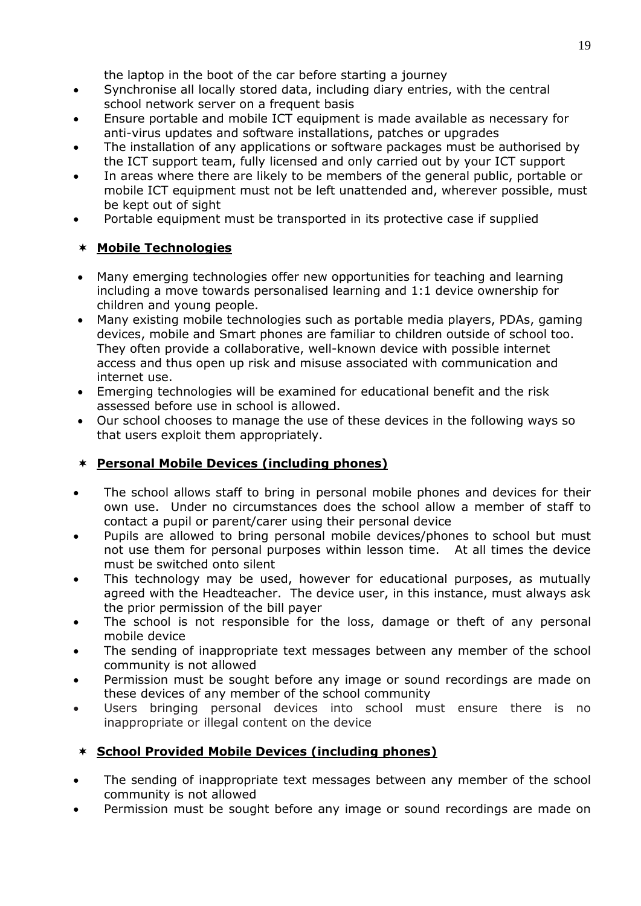the laptop in the boot of the car before starting a journey

- Synchronise all locally stored data, including diary entries, with the central school network server on a frequent basis
- Ensure portable and mobile ICT equipment is made available as necessary for anti-virus updates and software installations, patches or upgrades
- The installation of any applications or software packages must be authorised by the ICT support team, fully licensed and only carried out by your ICT support
- In areas where there are likely to be members of the general public, portable or mobile ICT equipment must not be left unattended and, wherever possible, must be kept out of sight
- Portable equipment must be transported in its protective case if supplied

# **Mobile Technologies**

- Many emerging technologies offer new opportunities for teaching and learning including a move towards personalised learning and 1:1 device ownership for children and young people.
- Many existing mobile technologies such as portable media players, PDAs, gaming devices, mobile and Smart phones are familiar to children outside of school too. They often provide a collaborative, well-known device with possible internet access and thus open up risk and misuse associated with communication and internet use.
- Emerging technologies will be examined for educational benefit and the risk assessed before use in school is allowed.
- Our school chooses to manage the use of these devices in the following ways so that users exploit them appropriately.

# **Personal Mobile Devices (including phones)**

- The school allows staff to bring in personal mobile phones and devices for their own use. Under no circumstances does the school allow a member of staff to contact a pupil or parent/carer using their personal device
- Pupils are allowed to bring personal mobile devices/phones to school but must not use them for personal purposes within lesson time. At all times the device must be switched onto silent
- This technology may be used, however for educational purposes, as mutually agreed with the Headteacher.The device user, in this instance, must always ask the prior permission of the bill payer
- The school is not responsible for the loss, damage or theft of any personal mobile device
- The sending of inappropriate text messages between any member of the school community is not allowed
- Permission must be sought before any image or sound recordings are made on these devices of any member of the school community
- Users bringing personal devices into school must ensure there is no inappropriate or illegal content on the device

# **School Provided Mobile Devices (including phones)**

- The sending of inappropriate text messages between any member of the school community is not allowed
- Permission must be sought before any image or sound recordings are made on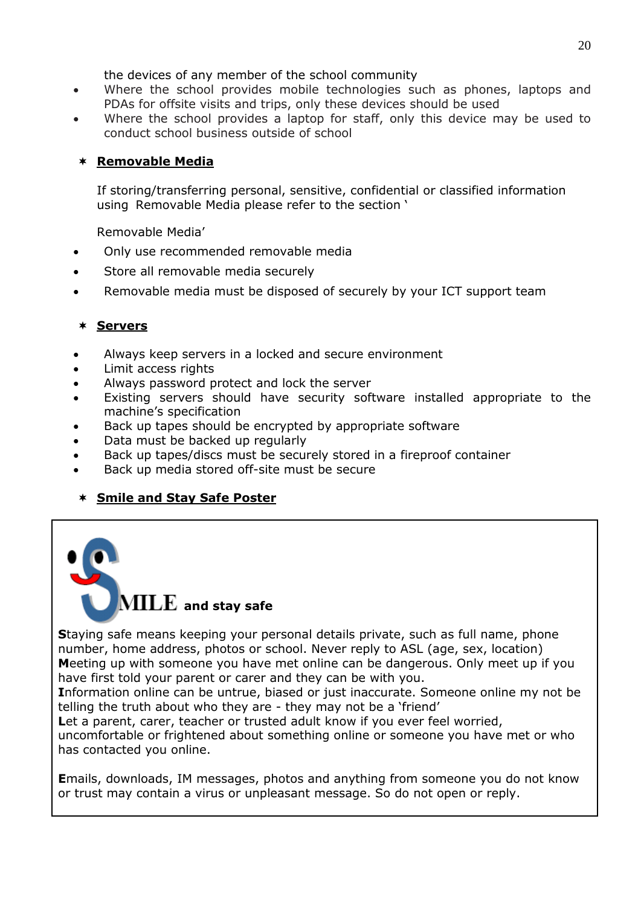the devices of any member of the school community

- Where the school provides mobile technologies such as phones, laptops and PDAs for offsite visits and trips, only these devices should be used
- Where the school provides a laptop for staff, only this device may be used to conduct school business outside of school

# **Removable Media**

If storing/transferring personal, sensitive, confidential or classified information using Removable Media please refer to the section ['](#page-14-0)

[Removable Media](#page-14-0)'

- Only use recommended removable media
- Store all removable media securely
- Removable media must be disposed of securely by your ICT support team

# **Servers**

- Always keep servers in a locked and secure environment
- Limit access rights
- Always password protect and lock the server
- Existing servers should have security software installed appropriate to the machine's specification
- Back up tapes should be encrypted by appropriate software
- Data must be backed up regularly
- Back up tapes/discs must be securely stored in a fireproof container
- Back up media stored off-site must be secure

# **Smile and Stay Safe Poster**



**S**taying safe means keeping your personal details private, such as full name, phone number, home address, photos or school. Never reply to ASL (age, sex, location) **M**eeting up with someone you have met online can be dangerous. Only meet up if you have first told your parent or carer and they can be with you.

**I**nformation online can be untrue, biased or just inaccurate. Someone online my not be telling the truth about who they are - they may not be a 'friend'

Let a parent, carer, teacher or trusted adult know if you ever feel worried,

uncomfortable or frightened about something online or someone you have met or who has contacted you online.

**E**mails, downloads, IM messages, photos and anything from someone you do not know or trust may contain a virus or unpleasant message. So do not open or reply.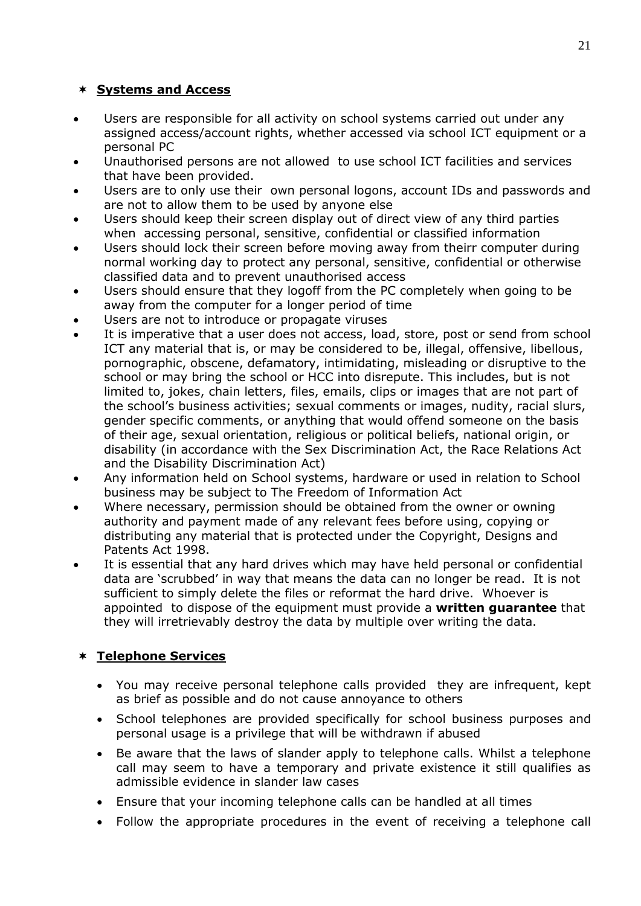# **Systems and Access**

- Users are responsible for all activity on school systems carried out under any assigned access/account rights, whether accessed via school ICT equipment or a personal PC
- Unauthorised persons are not allowed to use school ICT facilities and services that have been provided.
- Users are to only use their own personal logons, account IDs and passwords and are not to allow them to be used by anyone else
- Users should keep their screen display out of direct view of any third parties when accessing personal, sensitive, confidential or classified information
- Users should lock their screen before moving away from theirr computer during normal working day to protect any personal, sensitive, confidential or otherwise classified data and to prevent unauthorised access
- Users should ensure that they logoff from the PC completely when going to be away from the computer for a longer period of time
- Users are not to introduce or propagate viruses
- It is imperative that a user does not access, load, store, post or send from school ICT any material that is, or may be considered to be, illegal, offensive, libellous, pornographic, obscene, defamatory, intimidating, misleading or disruptive to the school or may bring the school or HCC into disrepute. This includes, but is not limited to, jokes, chain letters, files, emails, clips or images that are not part of the school's business activities; sexual comments or images, nudity, racial slurs, gender specific comments, or anything that would offend someone on the basis of their age, sexual orientation, religious or political beliefs, national origin, or disability (in accordance with the Sex Discrimination Act, the Race Relations Act and the Disability Discrimination Act)
- Any information held on School systems, hardware or used in relation to School business may be subject to The Freedom of Information Act
- Where necessary, permission should be obtained from the owner or owning authority and payment made of any relevant fees before using, copying or distributing any material that is protected under the Copyright, Designs and Patents Act 1998.
- It is essential that any hard drives which may have held personal or confidential data are 'scrubbed' in way that means the data can no longer be read. It is not sufficient to simply delete the files or reformat the hard drive. Whoever is appointed to dispose of the equipment must provide a **written guarantee** that they will irretrievably destroy the data by multiple over writing the data.

# **Telephone Services**

- You may receive personal telephone calls provided they are infrequent, kept as brief as possible and do not cause annoyance to others
- School telephones are provided specifically for school business purposes and personal usage is a privilege that will be withdrawn if abused
- Be aware that the laws of slander apply to telephone calls. Whilst a telephone call may seem to have a temporary and private existence it still qualifies as admissible evidence in slander law cases
- Ensure that your incoming telephone calls can be handled at all times
- Follow the appropriate procedures in the event of receiving a telephone call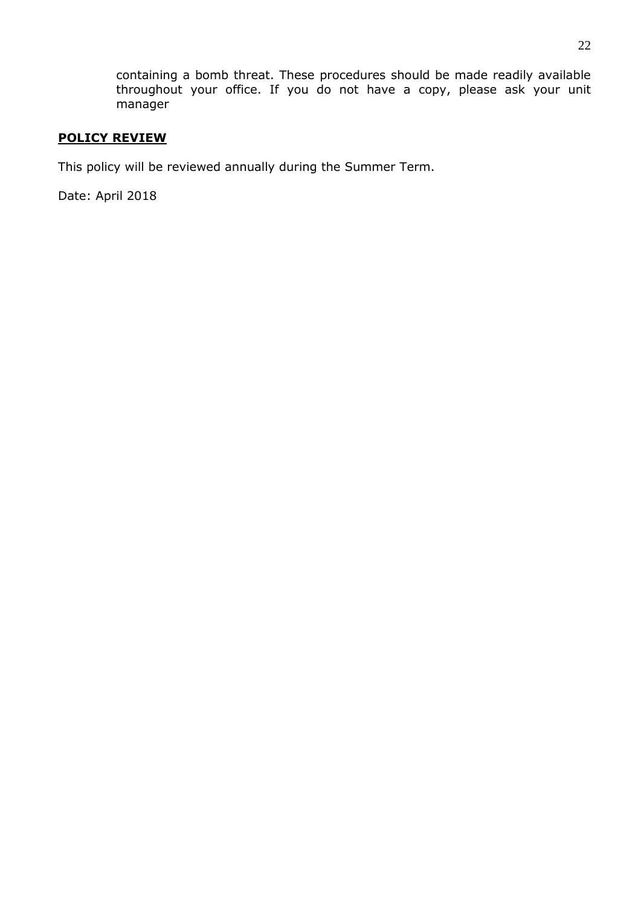containing a bomb threat. These procedures should be made readily available throughout your office. If you do not have a copy, please ask your unit manager

### **POLICY REVIEW**

This policy will be reviewed annually during the Summer Term.

Date: April 2018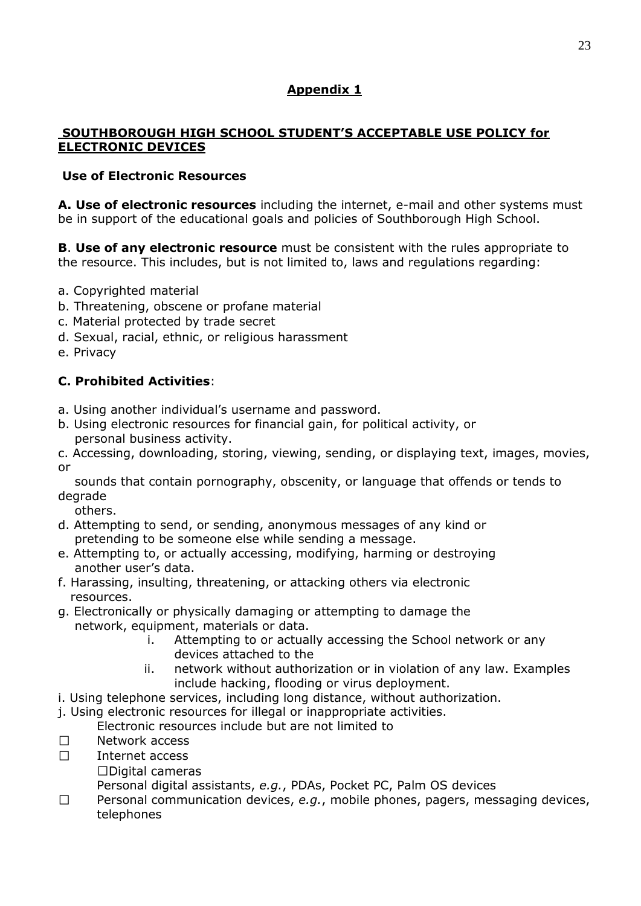# **Appendix 1**

# **SOUTHBOROUGH HIGH SCHOOL STUDENT'S ACCEPTABLE USE POLICY for ELECTRONIC DEVICES**

# **Use of Electronic Resources**

**A. Use of electronic resources** including the internet, e-mail and other systems must be in support of the educational goals and policies of Southborough High School.

**B**. **Use of any electronic resource** must be consistent with the rules appropriate to the resource. This includes, but is not limited to, laws and regulations regarding:

- a. Copyrighted material
- b. Threatening, obscene or profane material
- c. Material protected by trade secret
- d. Sexual, racial, ethnic, or religious harassment
- e. Privacy

# **C. Prohibited Activities**:

- a. Using another individual's username and password.
- b. Using electronic resources for financial gain, for political activity, or personal business activity.

c. Accessing, downloading, storing, viewing, sending, or displaying text, images, movies, or

 sounds that contain pornography, obscenity, or language that offends or tends to degrade

others.

- d. Attempting to send, or sending, anonymous messages of any kind or pretending to be someone else while sending a message.
- e. Attempting to, or actually accessing, modifying, harming or destroying another user's data.
- f. Harassing, insulting, threatening, or attacking others via electronic resources.
- g. Electronically or physically damaging or attempting to damage the network, equipment, materials or data.
	- i. Attempting to or actually accessing the School network or any devices attached to the
	- ii. network without authorization or in violation of any law. Examples include hacking, flooding or virus deployment.
- i. Using telephone services, including long distance, without authorization.
- j. Using electronic resources for illegal or inappropriate activities.
	- Electronic resources include but are not limited to
- $\Box$ Network access
- $\Box$ Internet access
	- $\Box$ Digital cameras

Personal digital assistants, *e.g.*, PDAs, Pocket PC, Palm OS devices

 $\Box$ Personal communication devices, *e.g.*, mobile phones, pagers, messaging devices, telephones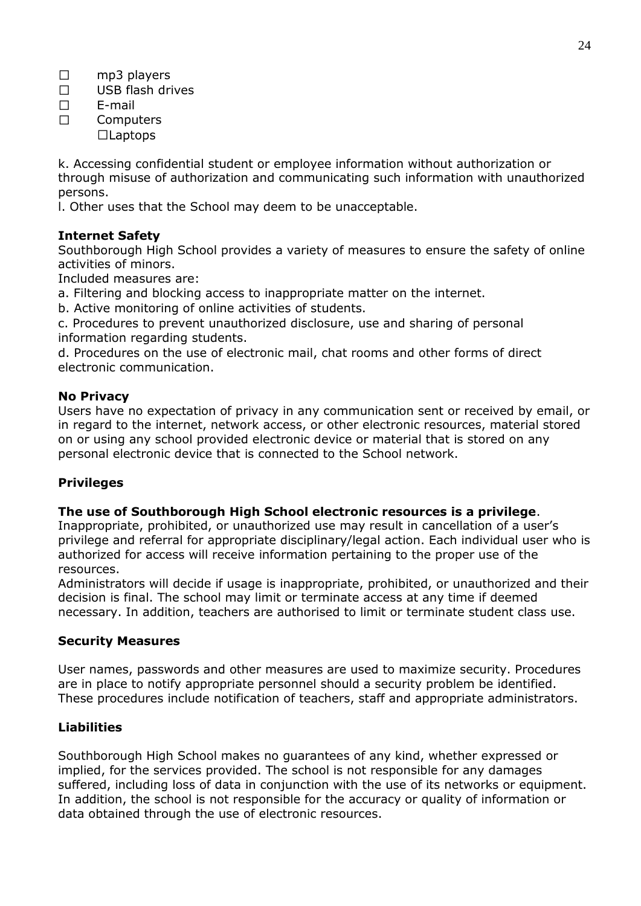- $\Box$ mp3 players
- $\Box$ USB flash drives
- $\Box$ E-mail
- $\Box$ **Computers**  $\Box$ Laptops

k. Accessing confidential student or employee information without authorization or through misuse of authorization and communicating such information with unauthorized persons.

l. Other uses that the School may deem to be unacceptable.

# **Internet Safety**

Southborough High School provides a variety of measures to ensure the safety of online activities of minors.

Included measures are:

a. Filtering and blocking access to inappropriate matter on the internet.

b. Active monitoring of online activities of students.

c. Procedures to prevent unauthorized disclosure, use and sharing of personal information regarding students.

d. Procedures on the use of electronic mail, chat rooms and other forms of direct electronic communication.

### **No Privacy**

Users have no expectation of privacy in any communication sent or received by email, or in regard to the internet, network access, or other electronic resources, material stored on or using any school provided electronic device or material that is stored on any personal electronic device that is connected to the School network.

# **Privileges**

### **The use of Southborough High School electronic resources is a privilege**.

Inappropriate, prohibited, or unauthorized use may result in cancellation of a user's privilege and referral for appropriate disciplinary/legal action. Each individual user who is authorized for access will receive information pertaining to the proper use of the resources.

Administrators will decide if usage is inappropriate, prohibited, or unauthorized and their decision is final. The school may limit or terminate access at any time if deemed necessary. In addition, teachers are authorised to limit or terminate student class use.

### **Security Measures**

User names, passwords and other measures are used to maximize security. Procedures are in place to notify appropriate personnel should a security problem be identified. These procedures include notification of teachers, staff and appropriate administrators.

# **Liabilities**

Southborough High School makes no guarantees of any kind, whether expressed or implied, for the services provided. The school is not responsible for any damages suffered, including loss of data in conjunction with the use of its networks or equipment. In addition, the school is not responsible for the accuracy or quality of information or data obtained through the use of electronic resources.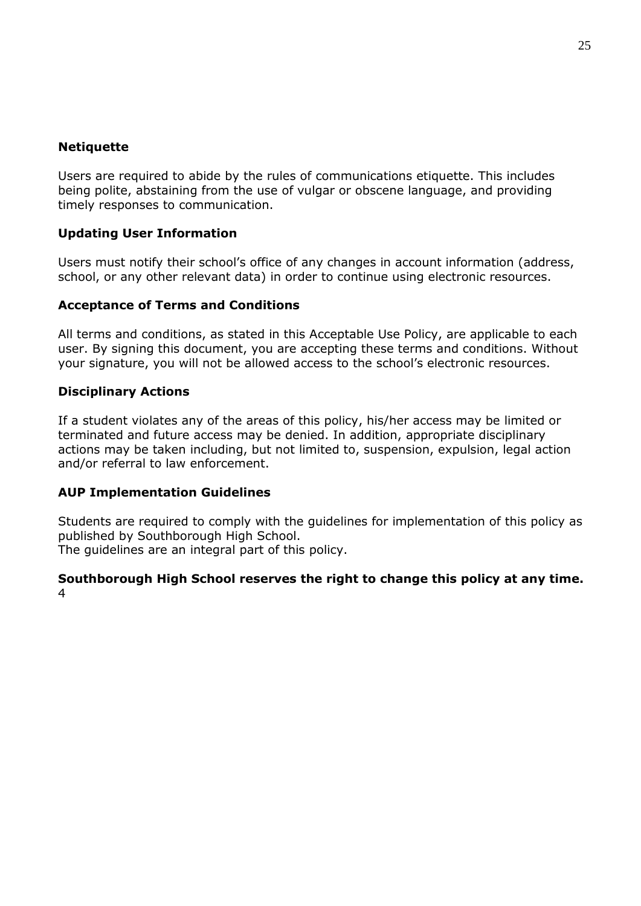## **Netiquette**

Users are required to abide by the rules of communications etiquette. This includes being polite, abstaining from the use of vulgar or obscene language, and providing timely responses to communication.

# **Updating User Information**

Users must notify their school's office of any changes in account information (address, school, or any other relevant data) in order to continue using electronic resources.

### **Acceptance of Terms and Conditions**

All terms and conditions, as stated in this Acceptable Use Policy, are applicable to each user. By signing this document, you are accepting these terms and conditions. Without your signature, you will not be allowed access to the school's electronic resources.

### **Disciplinary Actions**

If a student violates any of the areas of this policy, his/her access may be limited or terminated and future access may be denied. In addition, appropriate disciplinary actions may be taken including, but not limited to, suspension, expulsion, legal action and/or referral to law enforcement.

### **AUP Implementation Guidelines**

Students are required to comply with the guidelines for implementation of this policy as published by Southborough High School.

The guidelines are an integral part of this policy.

#### **Southborough High School reserves the right to change this policy at any time.**  4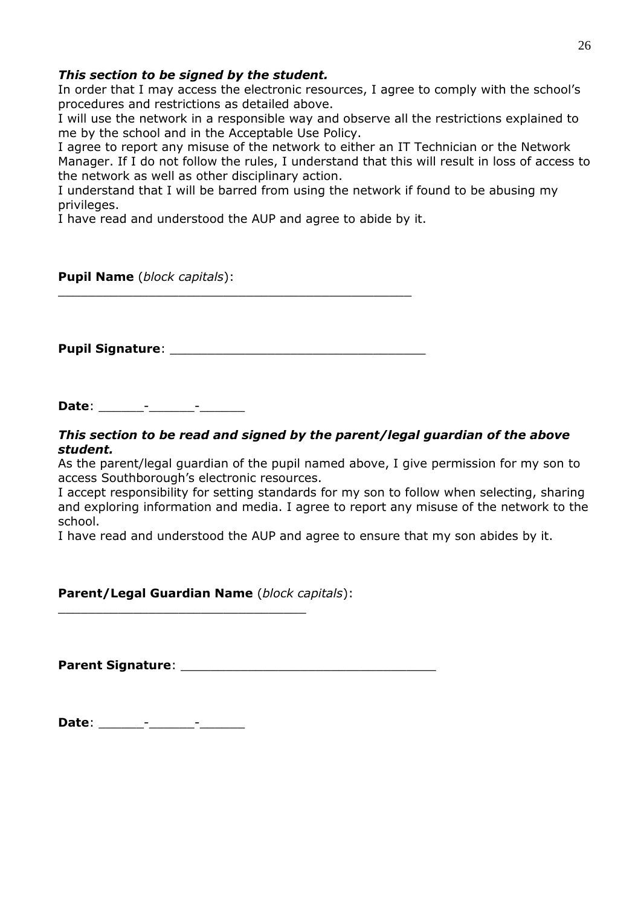### *This section to be signed by the student.*

In order that I may access the electronic resources, I agree to comply with the school's procedures and restrictions as detailed above.

I will use the network in a responsible way and observe all the restrictions explained to me by the school and in the Acceptable Use Policy.

I agree to report any misuse of the network to either an IT Technician or the Network Manager. If I do not follow the rules, I understand that this will result in loss of access to the network as well as other disciplinary action.

I understand that I will be barred from using the network if found to be abusing my privileges.

I have read and understood the AUP and agree to abide by it.

### **Pupil Name** (*block capitals*):

**Pupil Signature**: \_\_\_\_\_\_\_\_\_\_\_\_\_\_\_\_\_\_\_\_\_\_\_\_\_\_\_\_\_\_\_\_\_\_

\_\_\_\_\_\_\_\_\_\_\_\_\_\_\_\_\_\_\_\_\_\_\_\_\_\_\_\_\_\_\_\_\_\_\_\_\_\_\_\_\_\_\_\_\_\_\_

**Date**: \_\_\_\_\_\_\_\_\_\_\_\_\_\_\_\_

#### *This section to be read and signed by the parent/legal guardian of the above student.*

As the parent/legal guardian of the pupil named above, I give permission for my son to access Southborough's electronic resources.

I accept responsibility for setting standards for my son to follow when selecting, sharing and exploring information and media. I agree to report any misuse of the network to the school.

I have read and understood the AUP and agree to ensure that my son abides by it.

**Parent/Legal Guardian Name** (*block capitals*):

\_\_\_\_\_\_\_\_\_\_\_\_\_\_\_\_\_\_\_\_\_\_\_\_\_\_\_\_\_\_\_\_\_

**Parent Signature**: \_\_\_\_\_\_\_\_\_\_\_\_\_\_\_\_\_\_\_\_\_\_\_\_\_\_\_\_\_\_\_\_\_\_

**Date**: \_\_\_\_\_\_-\_\_\_\_\_\_-\_\_\_\_\_\_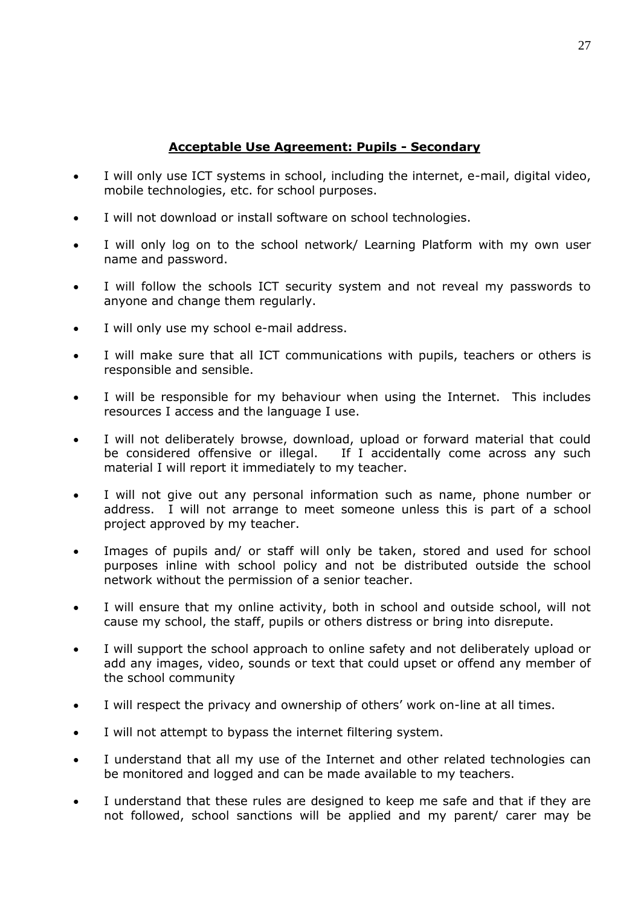# **Acceptable Use Agreement: Pupils - Secondary**

- I will only use ICT systems in school, including the internet, e-mail, digital video, mobile technologies, etc. for school purposes.
- I will not download or install software on school technologies.
- I will only log on to the school network/ Learning Platform with my own user name and password.
- I will follow the schools ICT security system and not reveal my passwords to anyone and change them regularly.
- I will only use my school e-mail address.
- I will make sure that all ICT communications with pupils, teachers or others is responsible and sensible.
- I will be responsible for my behaviour when using the Internet. This includes resources I access and the language I use.
- I will not deliberately browse, download, upload or forward material that could be considered offensive or illegal. If I accidentally come across any such material I will report it immediately to my teacher.
- I will not give out any personal information such as name, phone number or address. I will not arrange to meet someone unless this is part of a school project approved by my teacher.
- Images of pupils and/ or staff will only be taken, stored and used for school purposes inline with school policy and not be distributed outside the school network without the permission of a senior teacher.
- I will ensure that my online activity, both in school and outside school, will not cause my school, the staff, pupils or others distress or bring into disrepute.
- I will support the school approach to online safety and not deliberately upload or add any images, video, sounds or text that could upset or offend any member of the school community
- I will respect the privacy and ownership of others' work on-line at all times.
- I will not attempt to bypass the internet filtering system.
- I understand that all my use of the Internet and other related technologies can be monitored and logged and can be made available to my teachers.
- I understand that these rules are designed to keep me safe and that if they are not followed, school sanctions will be applied and my parent/ carer may be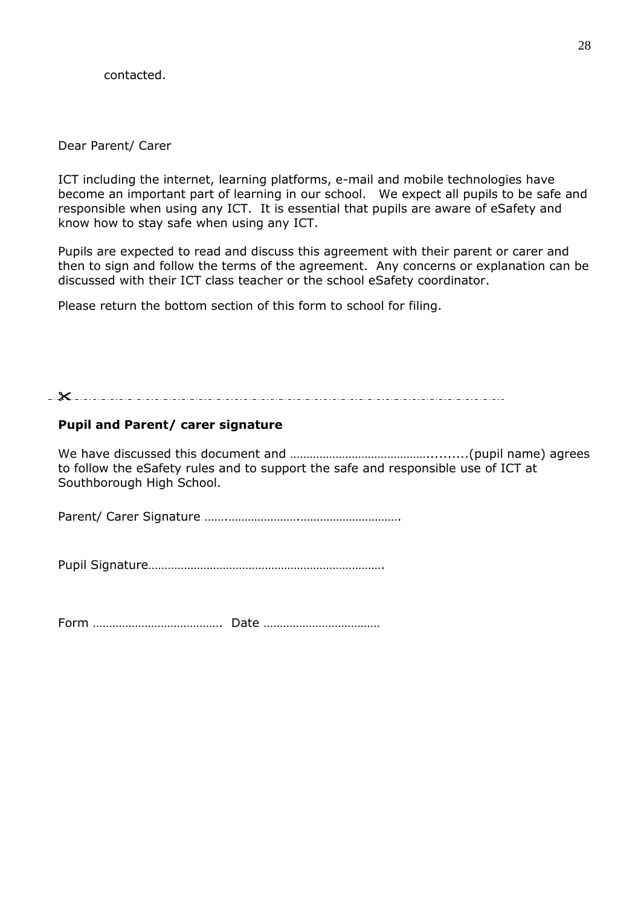contacted.

Dear Parent/ Carer

ICT including the internet, learning platforms, e-mail and mobile technologies have become an important part of learning in our school. We expect all pupils to be safe and responsible when using any ICT. It is essential that pupils are aware of eSafety and know how to stay safe when using any ICT.

Pupils are expected to read and discuss this agreement with their parent or carer and then to sign and follow the terms of the agreement. Any concerns or explanation can be discussed with their ICT class teacher or the school eSafety coordinator.

Please return the bottom section of this form to school for filing.

#### 

### **Pupil and Parent/ carer signature**

We have discussed this document and ……………………………………..........(pupil name) agrees to follow the eSafety rules and to support the safe and responsible use of ICT at Southborough High School.

Parent/ Carer Signature …….………………….………………………….

Pupil Signature……………………………………………………………….

Form …………………………………. Date ………………………………